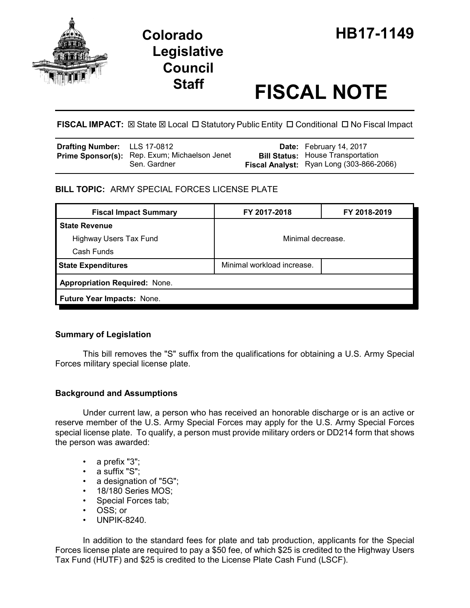



# **Staff FISCAL NOTE**

**FISCAL IMPACT:**  $\boxtimes$  **State**  $\boxtimes$  **Local □ Statutory Public Entity □ Conditional □ No Fiscal Impact** 

| <b>Drafting Number:</b> LLS 17-0812 |                                                                      | <b>Date:</b> February 14, 2017                                                       |
|-------------------------------------|----------------------------------------------------------------------|--------------------------------------------------------------------------------------|
|                                     | <b>Prime Sponsor(s):</b> Rep. Exum; Michaelson Jenet<br>Sen. Gardner | <b>Bill Status:</b> House Transportation<br>Fiscal Analyst: Ryan Long (303-866-2066) |

## **BILL TOPIC:** ARMY SPECIAL FORCES LICENSE PLATE

| FY 2017-2018                         | FY 2018-2019 |  |                            |  |
|--------------------------------------|--------------|--|----------------------------|--|
|                                      |              |  |                            |  |
| Minimal decrease.                    |              |  |                            |  |
|                                      |              |  | Minimal workload increase. |  |
| <b>Appropriation Required: None.</b> |              |  |                            |  |
| Future Year Impacts: None.           |              |  |                            |  |
|                                      |              |  |                            |  |

### **Summary of Legislation**

This bill removes the "S" suffix from the qualifications for obtaining a U.S. Army Special Forces military special license plate.

## **Background and Assumptions**

Under current law, a person who has received an honorable discharge or is an active or reserve member of the U.S. Army Special Forces may apply for the U.S. Army Special Forces special license plate. To qualify, a person must provide military orders or DD214 form that shows the person was awarded:

- a prefix "3";
- a suffix "S";
- a designation of "5G";
- 18/180 Series MOS;
- Special Forces tab;
- OSS; or
- UNPIK-8240.

In addition to the standard fees for plate and tab production, applicants for the Special Forces license plate are required to pay a \$50 fee, of which \$25 is credited to the Highway Users Tax Fund (HUTF) and \$25 is credited to the License Plate Cash Fund (LSCF).